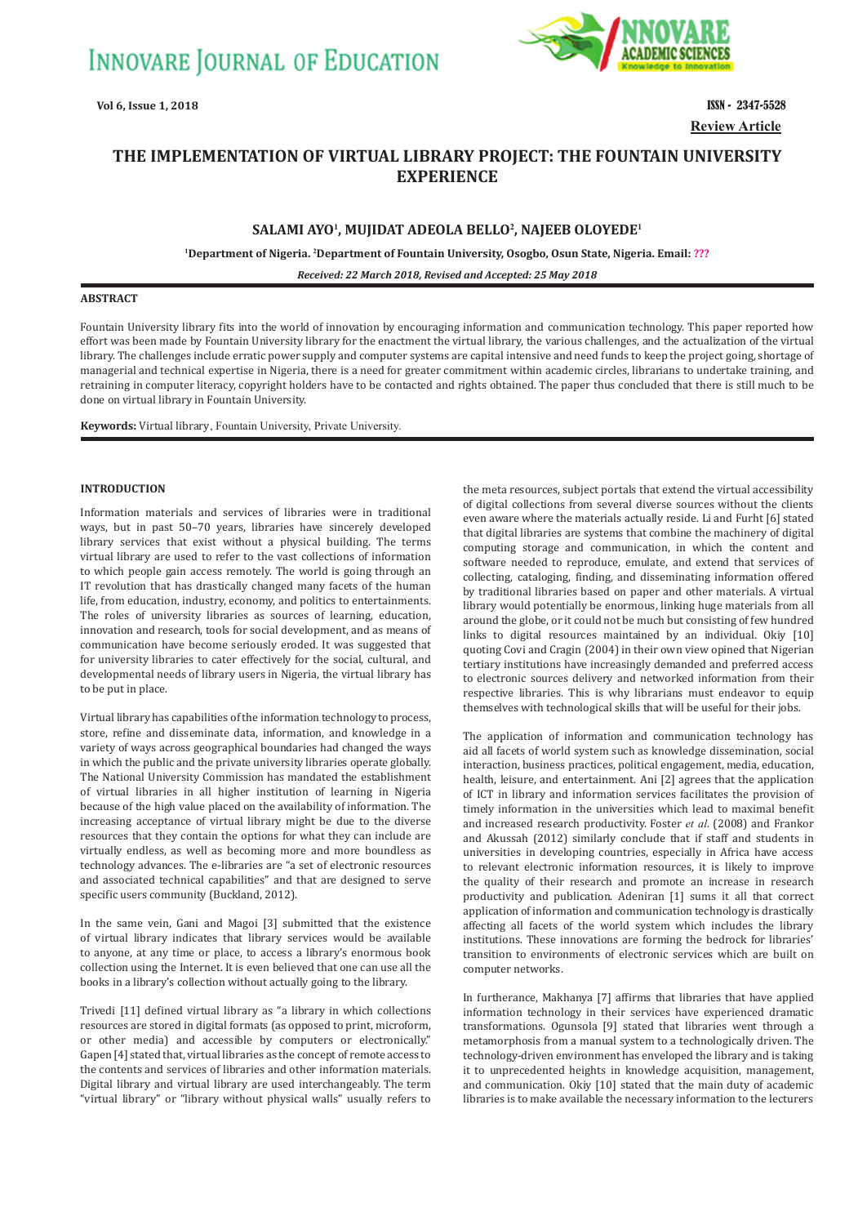

# **Review Article**

## **THE IMPLEMENTATION OF VIRTUAL LIBRARY PROJECT: THE FOUNTAIN UNIVERSITY EXPERIENCE**

### **SALAMI AYO<sup>1</sup> , MUJIDAT ADEOLA BELLO<sup>2</sup> , NAJEEB OLOYEDE<sup>1</sup>**

**<sup>1</sup>Department of Nigeria. 2Department of Fountain University, Osogbo, Osun State, Nigeria. Email: ???**

*Received: 22 March 2018, Revised and Accepted: 25 May 2018*

#### **ABSTRACT**

Fountain University library fits into the world of innovation by encouraging information and communication technology. This paper reported how effort was been made by Fountain University library for the enactment the virtual library, the various challenges, and the actualization of the virtual library. The challenges include erratic power supply and computer systems are capital intensive and need funds to keep the project going, shortage of managerial and technical expertise in Nigeria, there is a need for greater commitment within academic circles, librarians to undertake training, and retraining in computer literacy, copyright holders have to be contacted and rights obtained. The paper thus concluded that there is still much to be done on virtual library in Fountain University.

**Keywords:** Virtual library, Fountain University, Private University.

#### **INTRODUCTION**

Information materials and services of libraries were in traditional ways, but in past 50–70 years, libraries have sincerely developed library services that exist without a physical building. The terms virtual library are used to refer to the vast collections of information to which people gain access remotely. The world is going through an IT revolution that has drastically changed many facets of the human life, from education, industry, economy, and politics to entertainments. The roles of university libraries as sources of learning, education, innovation and research, tools for social development, and as means of communication have become seriously eroded. It was suggested that for university libraries to cater effectively for the social, cultural, and developmental needs of library users in Nigeria, the virtual library has to be put in place.

Virtual library has capabilities of the information technology to process, store, refine and disseminate data, information, and knowledge in a variety of ways across geographical boundaries had changed the ways in which the public and the private university libraries operate globally. The National University Commission has mandated the establishment of virtual libraries in all higher institution of learning in Nigeria because of the high value placed on the availability of information. The increasing acceptance of virtual library might be due to the diverse resources that they contain the options for what they can include are virtually endless, as well as becoming more and more boundless as technology advances. The e-libraries are "a set of electronic resources and associated technical capabilities" and that are designed to serve specific users community (Buckland, 2012).

In the same vein, Gani and Magoi [3] submitted that the existence of virtual library indicates that library services would be available to anyone, at any time or place, to access a library's enormous book collection using the Internet. It is even believed that one can use all the books in a library's collection without actually going to the library.

Trivedi [11] defined virtual library as "a library in which collections resources are stored in digital formats (as opposed to print, microform, or other media) and accessible by computers or electronically." Gapen [4] stated that, virtual libraries as the concept of remote access to the contents and services of libraries and other information materials. Digital library and virtual library are used interchangeably. The term "virtual library" or "library without physical walls" usually refers to

the meta resources, subject portals that extend the virtual accessibility of digital collections from several diverse sources without the clients even aware where the materials actually reside. Li and Furht [6] stated that digital libraries are systems that combine the machinery of digital computing storage and communication, in which the content and software needed to reproduce, emulate, and extend that services of collecting, cataloging, finding, and disseminating information offered by traditional libraries based on paper and other materials. A virtual library would potentially be enormous, linking huge materials from all around the globe, or it could not be much but consisting of few hundred links to digital resources maintained by an individual. Okiy [10] quoting Covi and Cragin (2004) in their own view opined that Nigerian tertiary institutions have increasingly demanded and preferred access to electronic sources delivery and networked information from their respective libraries. This is why librarians must endeavor to equip themselves with technological skills that will be useful for their jobs.

The application of information and communication technology has aid all facets of world system such as knowledge dissemination, social interaction, business practices, political engagement, media, education, health, leisure, and entertainment. Ani [2] agrees that the application of ICT in library and information services facilitates the provision of timely information in the universities which lead to maximal benefit and increased research productivity. Foster *et al*. (2008) and Frankor and Akussah (2012) similarly conclude that if staff and students in universities in developing countries, especially in Africa have access to relevant electronic information resources, it is likely to improve the quality of their research and promote an increase in research productivity and publication. Adeniran [1] sums it all that correct application of information and communication technology is drastically affecting all facets of the world system which includes the library institutions. These innovations are forming the bedrock for libraries' transition to environments of electronic services which are built on computer networks.

In furtherance, Makhanya [7] affirms that libraries that have applied information technology in their services have experienced dramatic transformations. Ogunsola [9] stated that libraries went through a metamorphosis from a manual system to a technologically driven. The technology-driven environment has enveloped the library and is taking it to unprecedented heights in knowledge acquisition, management, and communication. Okiy [10] stated that the main duty of academic libraries is to make available the necessary information to the lecturers